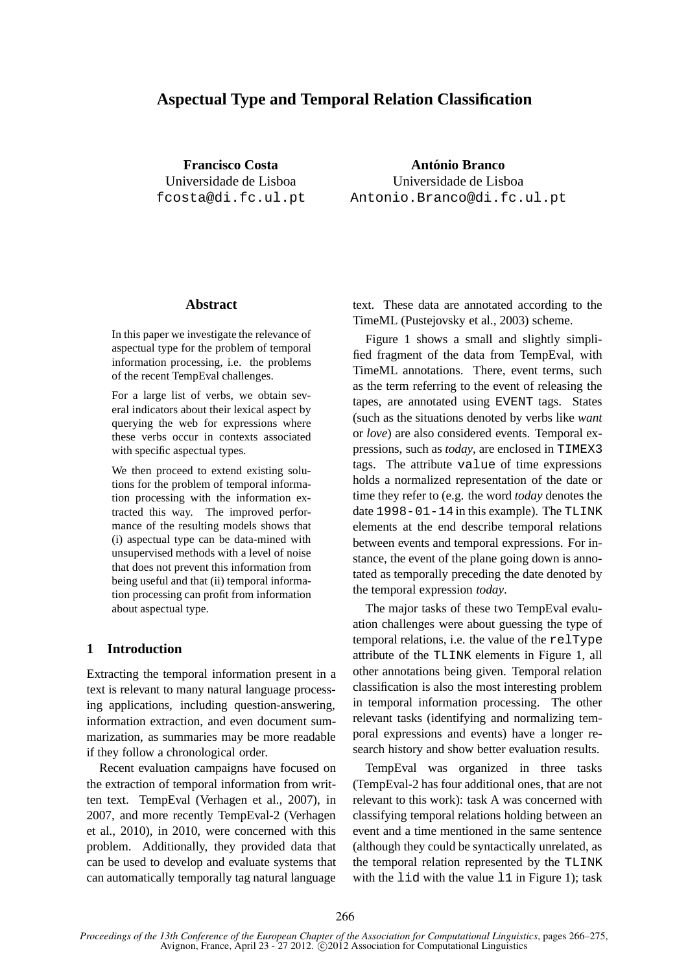# **Aspectual Type and Temporal Relation Classification**

**Francisco Costa** Universidade de Lisboa fcosta@di.fc.ul.pt

**Antonio Branco ´** Universidade de Lisboa Antonio.Branco@di.fc.ul.pt

#### **Abstract**

In this paper we investigate the relevance of aspectual type for the problem of temporal information processing, i.e. the problems of the recent TempEval challenges.

For a large list of verbs, we obtain several indicators about their lexical aspect by querying the web for expressions where these verbs occur in contexts associated with specific aspectual types.

We then proceed to extend existing solutions for the problem of temporal information processing with the information extracted this way. The improved performance of the resulting models shows that (i) aspectual type can be data-mined with unsupervised methods with a level of noise that does not prevent this information from being useful and that (ii) temporal information processing can profit from information about aspectual type.

### **1 Introduction**

Extracting the temporal information present in a text is relevant to many natural language processing applications, including question-answering, information extraction, and even document summarization, as summaries may be more readable if they follow a chronological order.

Recent evaluation campaigns have focused on the extraction of temporal information from written text. TempEval (Verhagen et al., 2007), in 2007, and more recently TempEval-2 (Verhagen et al., 2010), in 2010, were concerned with this problem. Additionally, they provided data that can be used to develop and evaluate systems that can automatically temporally tag natural language text. These data are annotated according to the TimeML (Pustejovsky et al., 2003) scheme.

Figure 1 shows a small and slightly simplified fragment of the data from TempEval, with TimeML annotations. There, event terms, such as the term referring to the event of releasing the tapes, are annotated using EVENT tags. States (such as the situations denoted by verbs like *want* or *love*) are also considered events. Temporal expressions, such as *today*, are enclosed in TIMEX3 tags. The attribute value of time expressions holds a normalized representation of the date or time they refer to (e.g. the word *today* denotes the date 1998-01-14 in this example). The TLINK elements at the end describe temporal relations between events and temporal expressions. For instance, the event of the plane going down is annotated as temporally preceding the date denoted by the temporal expression *today*.

The major tasks of these two TempEval evaluation challenges were about guessing the type of temporal relations, i.e. the value of the relType attribute of the TLINK elements in Figure 1, all other annotations being given. Temporal relation classification is also the most interesting problem in temporal information processing. The other relevant tasks (identifying and normalizing temporal expressions and events) have a longer research history and show better evaluation results.

TempEval was organized in three tasks (TempEval-2 has four additional ones, that are not relevant to this work): task A was concerned with classifying temporal relations holding between an event and a time mentioned in the same sentence (although they could be syntactically unrelated, as the temporal relation represented by the TLINK with the lid with the value 11 in Figure 1); task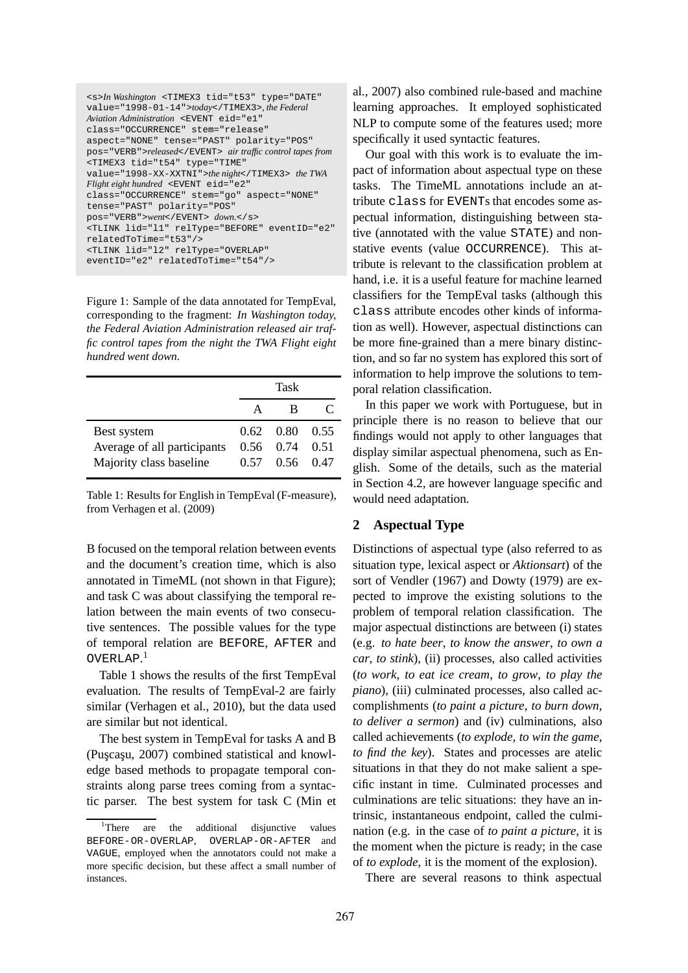| <s>In Washington <timex3 <="" th="" tid="t53" type="DATE"></timex3></s> |
|-------------------------------------------------------------------------|
| value="1998-01-14">today, the Federal                                   |
| Aviation Administration <event <="" eid="e1" td=""></event>             |
| class="OCCURRENCE" stem="release"                                       |
| aspect="NONE" tense="PAST" polarity="POS"                               |
| pos="VERB">released air traffic control tapes from                      |
| <timex3 <="" td="" tid="t54" type="TIME"></timex3>                      |
| value="1998-XX-XXTNI">the night the TWA                                 |
| Flight eight hundred <event <="" eid="e2" td=""></event>                |
| class="OCCURRENCE" stem="go" aspect="NONE"                              |
| tense="PAST" polarity="POS"                                             |
| pos="VERB">went down.                                                   |
| <tlink <="" eventid="e2" lid="l1" reltype="BEFORE" td=""></tlink>       |
| relatedToTime="t53"/>                                                   |
| <tlink <="" lid="12" reltype="OVERLAP" td=""></tlink>                   |
| eventID="e2" relatedToTime="t54"/>                                      |

Figure 1: Sample of the data annotated for TempEval, corresponding to the fragment: *In Washington today, the Federal Aviation Administration released air traffic control tapes from the night the TWA Flight eight hundred went down.*

|                             |             | Task                         |           |
|-----------------------------|-------------|------------------------------|-----------|
|                             | $\mathbf A$ | в                            | $\subset$ |
| Best system                 |             | $0.62 \quad 0.80 \quad 0.55$ |           |
| Average of all participants |             | $0.56$ $0.74$ $0.51$         |           |
| Majority class baseline     |             | 0.57 0.56 0.47               |           |

Table 1: Results for English in TempEval (F-measure), from Verhagen et al. (2009)

B focused on the temporal relation between events and the document's creation time, which is also annotated in TimeML (not shown in that Figure); and task C was about classifying the temporal relation between the main events of two consecutive sentences. The possible values for the type of temporal relation are BEFORE, AFTER and OVERLAP. 1

Table 1 shows the results of the first TempEval evaluation. The results of TempEval-2 are fairly similar (Verhagen et al., 2010), but the data used are similar but not identical.

The best system in TempEval for tasks A and B (Puscasu, 2007) combined statistical and knowledge based methods to propagate temporal constraints along parse trees coming from a syntactic parser. The best system for task C (Min et

al., 2007) also combined rule-based and machine learning approaches. It employed sophisticated NLP to compute some of the features used; more specifically it used syntactic features.

Our goal with this work is to evaluate the impact of information about aspectual type on these tasks. The TimeML annotations include an attribute class for EVENTs that encodes some aspectual information, distinguishing between stative (annotated with the value STATE) and nonstative events (value OCCURRENCE). This attribute is relevant to the classification problem at hand, i.e. it is a useful feature for machine learned classifiers for the TempEval tasks (although this class attribute encodes other kinds of information as well). However, aspectual distinctions can be more fine-grained than a mere binary distinction, and so far no system has explored this sort of information to help improve the solutions to temporal relation classification.

In this paper we work with Portuguese, but in principle there is no reason to believe that our findings would not apply to other languages that display similar aspectual phenomena, such as English. Some of the details, such as the material in Section 4.2, are however language specific and would need adaptation.

## **2 Aspectual Type**

Distinctions of aspectual type (also referred to as situation type, lexical aspect or *Aktionsart*) of the sort of Vendler (1967) and Dowty (1979) are expected to improve the existing solutions to the problem of temporal relation classification. The major aspectual distinctions are between (i) states (e.g. *to hate beer*, *to know the answer*, *to own a car*, *to stink*), (ii) processes, also called activities (*to work*, *to eat ice cream*, *to grow*, *to play the piano*), (iii) culminated processes, also called accomplishments (*to paint a picture*, *to burn down*, *to deliver a sermon*) and (iv) culminations, also called achievements (*to explode*, *to win the game*, *to find the key*). States and processes are atelic situations in that they do not make salient a specific instant in time. Culminated processes and culminations are telic situations: they have an intrinsic, instantaneous endpoint, called the culmination (e.g. in the case of *to paint a picture*, it is the moment when the picture is ready; in the case of *to explode*, it is the moment of the explosion).

There are several reasons to think aspectual

<sup>&</sup>lt;sup>1</sup>There are the additional disjunctive values BEFORE-OR-OVERLAP, OVERLAP-OR-AFTER and VAGUE, employed when the annotators could not make a more specific decision, but these affect a small number of instances.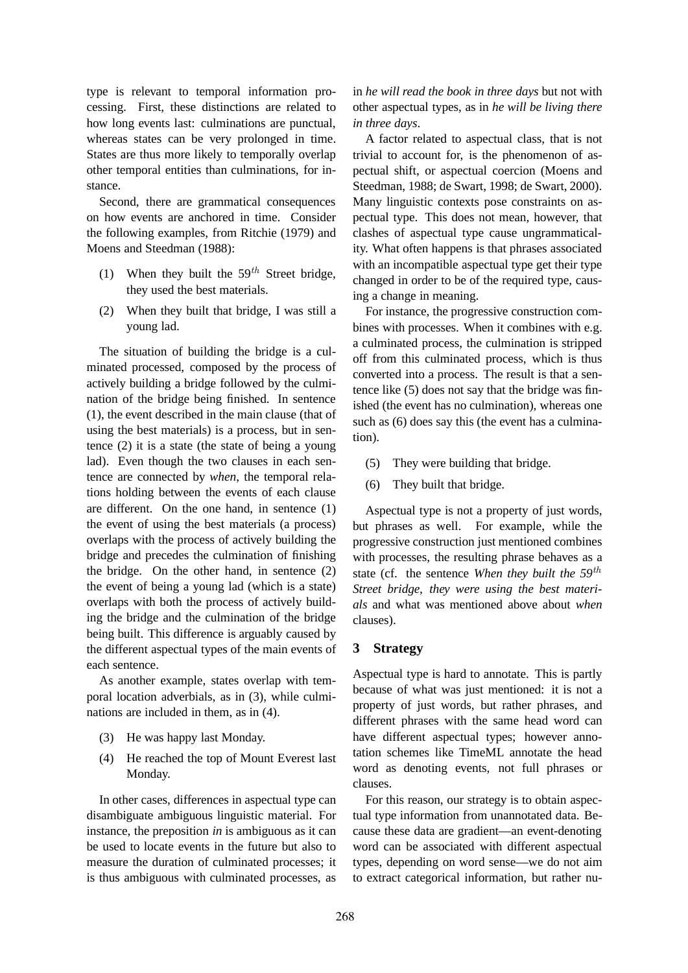type is relevant to temporal information processing. First, these distinctions are related to how long events last: culminations are punctual, whereas states can be very prolonged in time. States are thus more likely to temporally overlap other temporal entities than culminations, for instance.

Second, there are grammatical consequences on how events are anchored in time. Consider the following examples, from Ritchie (1979) and Moens and Steedman (1988):

- (1) When they built the  $59<sup>th</sup>$  Street bridge, they used the best materials.
- (2) When they built that bridge, I was still a young lad.

The situation of building the bridge is a culminated processed, composed by the process of actively building a bridge followed by the culmination of the bridge being finished. In sentence (1), the event described in the main clause (that of using the best materials) is a process, but in sentence (2) it is a state (the state of being a young lad). Even though the two clauses in each sentence are connected by *when*, the temporal relations holding between the events of each clause are different. On the one hand, in sentence (1) the event of using the best materials (a process) overlaps with the process of actively building the bridge and precedes the culmination of finishing the bridge. On the other hand, in sentence (2) the event of being a young lad (which is a state) overlaps with both the process of actively building the bridge and the culmination of the bridge being built. This difference is arguably caused by the different aspectual types of the main events of each sentence.

As another example, states overlap with temporal location adverbials, as in (3), while culminations are included in them, as in (4).

- (3) He was happy last Monday.
- (4) He reached the top of Mount Everest last Monday.

In other cases, differences in aspectual type can disambiguate ambiguous linguistic material. For instance, the preposition *in* is ambiguous as it can be used to locate events in the future but also to measure the duration of culminated processes; it is thus ambiguous with culminated processes, as in *he will read the book in three days* but not with other aspectual types, as in *he will be living there in three days*.

A factor related to aspectual class, that is not trivial to account for, is the phenomenon of aspectual shift, or aspectual coercion (Moens and Steedman, 1988; de Swart, 1998; de Swart, 2000). Many linguistic contexts pose constraints on aspectual type. This does not mean, however, that clashes of aspectual type cause ungrammaticality. What often happens is that phrases associated with an incompatible aspectual type get their type changed in order to be of the required type, causing a change in meaning.

For instance, the progressive construction combines with processes. When it combines with e.g. a culminated process, the culmination is stripped off from this culminated process, which is thus converted into a process. The result is that a sentence like (5) does not say that the bridge was finished (the event has no culmination), whereas one such as (6) does say this (the event has a culmination).

- (5) They were building that bridge.
- (6) They built that bridge.

Aspectual type is not a property of just words, but phrases as well. For example, while the progressive construction just mentioned combines with processes, the resulting phrase behaves as a state (cf. the sentence *When they built the 59*th *Street bridge, they were using the best materials* and what was mentioned above about *when* clauses).

### **3 Strategy**

Aspectual type is hard to annotate. This is partly because of what was just mentioned: it is not a property of just words, but rather phrases, and different phrases with the same head word can have different aspectual types; however annotation schemes like TimeML annotate the head word as denoting events, not full phrases or clauses.

For this reason, our strategy is to obtain aspectual type information from unannotated data. Because these data are gradient—an event-denoting word can be associated with different aspectual types, depending on word sense—we do not aim to extract categorical information, but rather nu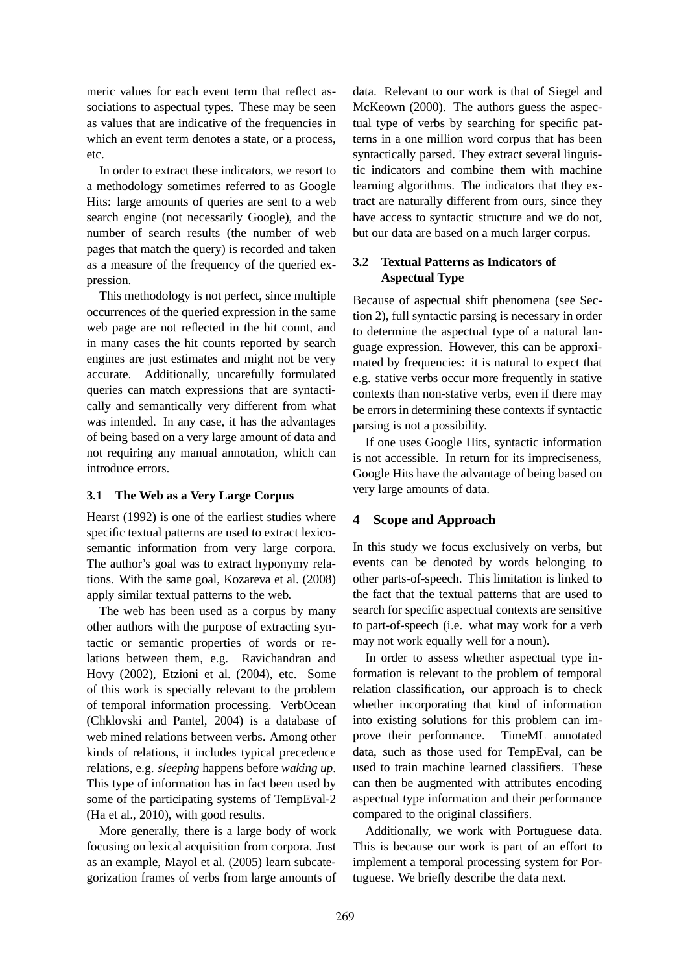meric values for each event term that reflect associations to aspectual types. These may be seen as values that are indicative of the frequencies in which an event term denotes a state, or a process, etc.

In order to extract these indicators, we resort to a methodology sometimes referred to as Google Hits: large amounts of queries are sent to a web search engine (not necessarily Google), and the number of search results (the number of web pages that match the query) is recorded and taken as a measure of the frequency of the queried expression.

This methodology is not perfect, since multiple occurrences of the queried expression in the same web page are not reflected in the hit count, and in many cases the hit counts reported by search engines are just estimates and might not be very accurate. Additionally, uncarefully formulated queries can match expressions that are syntactically and semantically very different from what was intended. In any case, it has the advantages of being based on a very large amount of data and not requiring any manual annotation, which can introduce errors.

## **3.1 The Web as a Very Large Corpus**

Hearst (1992) is one of the earliest studies where specific textual patterns are used to extract lexicosemantic information from very large corpora. The author's goal was to extract hyponymy relations. With the same goal, Kozareva et al. (2008) apply similar textual patterns to the web.

The web has been used as a corpus by many other authors with the purpose of extracting syntactic or semantic properties of words or relations between them, e.g. Ravichandran and Hovy (2002), Etzioni et al. (2004), etc. Some of this work is specially relevant to the problem of temporal information processing. VerbOcean (Chklovski and Pantel, 2004) is a database of web mined relations between verbs. Among other kinds of relations, it includes typical precedence relations, e.g. *sleeping* happens before *waking up*. This type of information has in fact been used by some of the participating systems of TempEval-2 (Ha et al., 2010), with good results.

More generally, there is a large body of work focusing on lexical acquisition from corpora. Just as an example, Mayol et al. (2005) learn subcategorization frames of verbs from large amounts of data. Relevant to our work is that of Siegel and McKeown (2000). The authors guess the aspectual type of verbs by searching for specific patterns in a one million word corpus that has been syntactically parsed. They extract several linguistic indicators and combine them with machine learning algorithms. The indicators that they extract are naturally different from ours, since they have access to syntactic structure and we do not, but our data are based on a much larger corpus.

# **3.2 Textual Patterns as Indicators of Aspectual Type**

Because of aspectual shift phenomena (see Section 2), full syntactic parsing is necessary in order to determine the aspectual type of a natural language expression. However, this can be approximated by frequencies: it is natural to expect that e.g. stative verbs occur more frequently in stative contexts than non-stative verbs, even if there may be errors in determining these contexts if syntactic parsing is not a possibility.

If one uses Google Hits, syntactic information is not accessible. In return for its impreciseness, Google Hits have the advantage of being based on very large amounts of data.

# **4 Scope and Approach**

In this study we focus exclusively on verbs, but events can be denoted by words belonging to other parts-of-speech. This limitation is linked to the fact that the textual patterns that are used to search for specific aspectual contexts are sensitive to part-of-speech (i.e. what may work for a verb may not work equally well for a noun).

In order to assess whether aspectual type information is relevant to the problem of temporal relation classification, our approach is to check whether incorporating that kind of information into existing solutions for this problem can improve their performance. TimeML annotated data, such as those used for TempEval, can be used to train machine learned classifiers. These can then be augmented with attributes encoding aspectual type information and their performance compared to the original classifiers.

Additionally, we work with Portuguese data. This is because our work is part of an effort to implement a temporal processing system for Portuguese. We briefly describe the data next.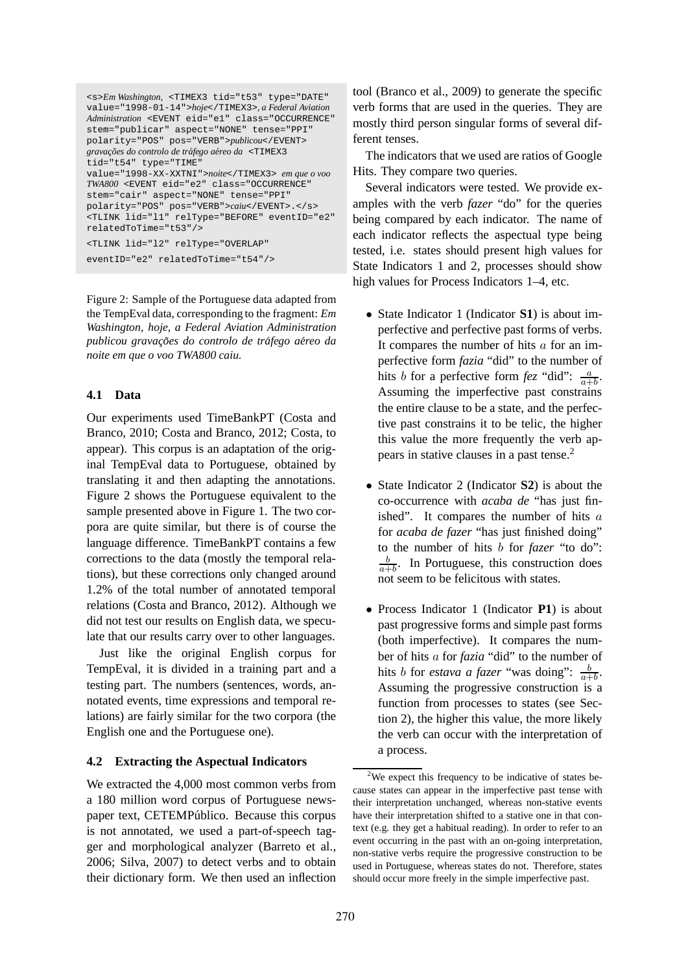```
<s>Em Washington, <TIMEX3 tid="t53" type="DATE"
value="1998-01-14">hoje</TIMEX3>, a Federal Aviation
Administration <EVENT eid="e1" class="OCCURRENCE"
stem="publicar" aspect="NONE" tense="PPI"
polarity="POS" pos="VERB">publicou</EVENT>
gravações do controlo de tráfego aéreo da <TIMEX3
tid="t54" type="TIME"
value="1998-XX-XXTNI">noite</TIMEX3> em que o voo
TWA800 <EVENT eid="e2" class="OCCURRENCE"
stem="cair" aspect="NONE" tense="PPI"
polarity="POS" pos="VERB">caiu</EVENT>.</s>
<TLINK lid="l1" relType="BEFORE" eventID="e2"
relatedToTime="t53"/>
<TLINK lid="l2" relType="OVERLAP"
```
eventID="e2" relatedToTime="t54"/>

Figure 2: Sample of the Portuguese data adapted from the TempEval data, corresponding to the fragment: *Em Washington, hoje, a Federal Aviation Administration publicou gravac¸oes do controlo de tr ˜ afego a ´ ereo da ´ noite em que o voo TWA800 caiu.*

#### **4.1 Data**

Our experiments used TimeBankPT (Costa and Branco, 2010; Costa and Branco, 2012; Costa, to appear). This corpus is an adaptation of the original TempEval data to Portuguese, obtained by translating it and then adapting the annotations. Figure 2 shows the Portuguese equivalent to the sample presented above in Figure 1. The two corpora are quite similar, but there is of course the language difference. TimeBankPT contains a few corrections to the data (mostly the temporal relations), but these corrections only changed around 1.2% of the total number of annotated temporal relations (Costa and Branco, 2012). Although we did not test our results on English data, we speculate that our results carry over to other languages.

Just like the original English corpus for TempEval, it is divided in a training part and a testing part. The numbers (sentences, words, annotated events, time expressions and temporal relations) are fairly similar for the two corpora (the English one and the Portuguese one).

#### **4.2 Extracting the Aspectual Indicators**

We extracted the 4,000 most common verbs from a 180 million word corpus of Portuguese newspaper text, CETEMPúblico. Because this corpus is not annotated, we used a part-of-speech tagger and morphological analyzer (Barreto et al., 2006; Silva, 2007) to detect verbs and to obtain their dictionary form. We then used an inflection tool (Branco et al., 2009) to generate the specific verb forms that are used in the queries. They are mostly third person singular forms of several different tenses.

The indicators that we used are ratios of Google Hits. They compare two queries.

Several indicators were tested. We provide examples with the verb *fazer* "do" for the queries being compared by each indicator. The name of each indicator reflects the aspectual type being tested, i.e. states should present high values for State Indicators 1 and 2, processes should show high values for Process Indicators 1–4, etc.

- State Indicator 1 (Indicator **S1**) is about imperfective and perfective past forms of verbs. It compares the number of hits  $a$  for an imperfective form *fazia* "did" to the number of hits *b* for a perfective form *fez* "did":  $\frac{a}{a+b}$ . Assuming the imperfective past constrains the entire clause to be a state, and the perfective past constrains it to be telic, the higher this value the more frequently the verb appears in stative clauses in a past tense.<sup>2</sup>
- State Indicator 2 (Indicator **S2**) is about the co-occurrence with *acaba de* "has just finished". It compares the number of hits  $a$ for *acaba de fazer* "has just finished doing" to the number of hits b for *fazer* "to do": b  $\frac{b}{a+b}$ . In Portuguese, this construction does not seem to be felicitous with states.
- Process Indicator 1 (Indicator **P1**) is about past progressive forms and simple past forms (both imperfective). It compares the number of hits a for *fazia* "did" to the number of hits *b* for *estava a fazer* "was doing":  $\frac{b}{a+b}$ . Assuming the progressive construction is a function from processes to states (see Section 2), the higher this value, the more likely the verb can occur with the interpretation of a process.

 $2$ We expect this frequency to be indicative of states because states can appear in the imperfective past tense with their interpretation unchanged, whereas non-stative events have their interpretation shifted to a stative one in that context (e.g. they get a habitual reading). In order to refer to an event occurring in the past with an on-going interpretation, non-stative verbs require the progressive construction to be used in Portuguese, whereas states do not. Therefore, states should occur more freely in the simple imperfective past.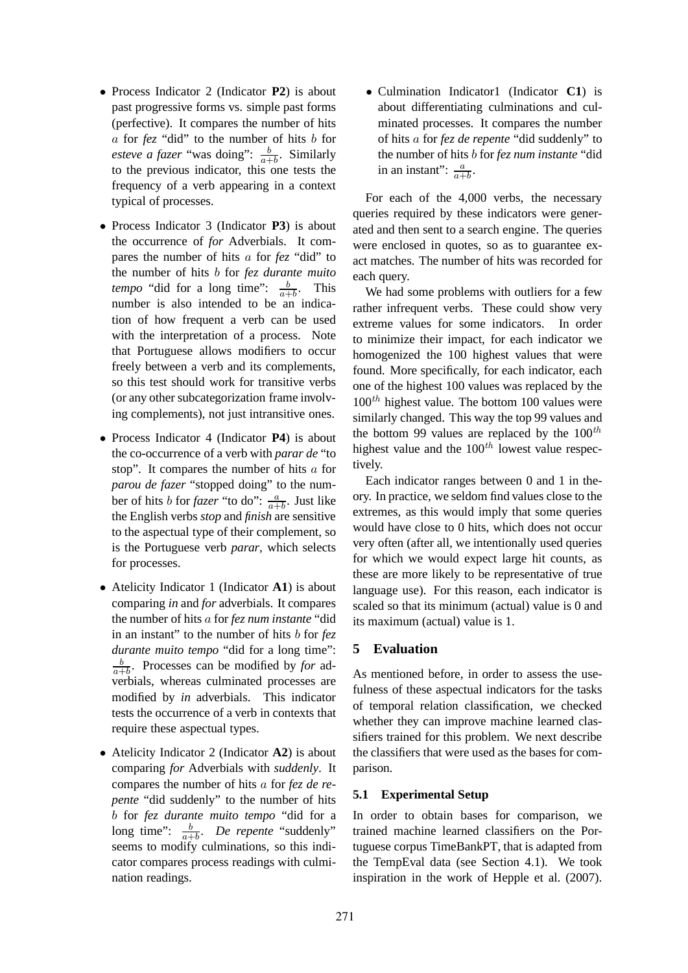- Process Indicator 2 (Indicator **P2**) is about past progressive forms vs. simple past forms (perfective). It compares the number of hits a for *fez* "did" to the number of hits b for *esteve a fazer* "was doing":  $\frac{b}{a+b}$ . Similarly to the previous indicator, this one tests the frequency of a verb appearing in a context typical of processes.
- Process Indicator 3 (Indicator **P3**) is about the occurrence of *for* Adverbials. It compares the number of hits a for *fez* "did" to the number of hits b for *fez durante muito tempo* "did for a long time":  $\frac{b}{a+b}$ . This number is also intended to be an indication of how frequent a verb can be used with the interpretation of a process. Note that Portuguese allows modifiers to occur freely between a verb and its complements, so this test should work for transitive verbs (or any other subcategorization frame involving complements), not just intransitive ones.
- Process Indicator 4 (Indicator **P4**) is about the co-occurrence of a verb with *parar de* "to stop". It compares the number of hits a for *parou de fazer* "stopped doing" to the number of hits b for *fazer* "to do":  $\frac{a}{a+b}$ . Just like the English verbs *stop* and *finish* are sensitive to the aspectual type of their complement, so is the Portuguese verb *parar*, which selects for processes.
- Atelicity Indicator 1 (Indicator **A1**) is about comparing *in* and *for* adverbials. It compares the number of hits a for *fez num instante* "did in an instant" to the number of hits b for *fez durante muito tempo* "did for a long time": b  $\frac{b}{a+b}$ . Processes can be modified by *for* adverbials, whereas culminated processes are modified by *in* adverbials. This indicator tests the occurrence of a verb in contexts that require these aspectual types.
- Atelicity Indicator 2 (Indicator **A2**) is about comparing *for* Adverbials with *suddenly*. It compares the number of hits a for *fez de repente* "did suddenly" to the number of hits b for *fez durante muito tempo* "did for a long time":  $\frac{b}{a+b}$ . *De repente* "suddenly" seems to modify culminations, so this indicator compares process readings with culmination readings.

• Culmination Indicator1 (Indicator **C1**) is about differentiating culminations and culminated processes. It compares the number of hits a for *fez de repente* "did suddenly" to the number of hits b for *fez num instante* "did in an instant":  $\frac{a}{a+b}$ .

For each of the 4,000 verbs, the necessary queries required by these indicators were generated and then sent to a search engine. The queries were enclosed in quotes, so as to guarantee exact matches. The number of hits was recorded for each query.

We had some problems with outliers for a few rather infrequent verbs. These could show very extreme values for some indicators. In order to minimize their impact, for each indicator we homogenized the 100 highest values that were found. More specifically, for each indicator, each one of the highest 100 values was replaced by the  $100<sup>th</sup>$  highest value. The bottom 100 values were similarly changed. This way the top 99 values and the bottom 99 values are replaced by the  $100^{th}$ highest value and the  $100^{th}$  lowest value respectively.

Each indicator ranges between 0 and 1 in theory. In practice, we seldom find values close to the extremes, as this would imply that some queries would have close to 0 hits, which does not occur very often (after all, we intentionally used queries for which we would expect large hit counts, as these are more likely to be representative of true language use). For this reason, each indicator is scaled so that its minimum (actual) value is 0 and its maximum (actual) value is 1.

## **5 Evaluation**

As mentioned before, in order to assess the usefulness of these aspectual indicators for the tasks of temporal relation classification, we checked whether they can improve machine learned classifiers trained for this problem. We next describe the classifiers that were used as the bases for comparison.

## **5.1 Experimental Setup**

In order to obtain bases for comparison, we trained machine learned classifiers on the Portuguese corpus TimeBankPT, that is adapted from the TempEval data (see Section 4.1). We took inspiration in the work of Hepple et al. (2007).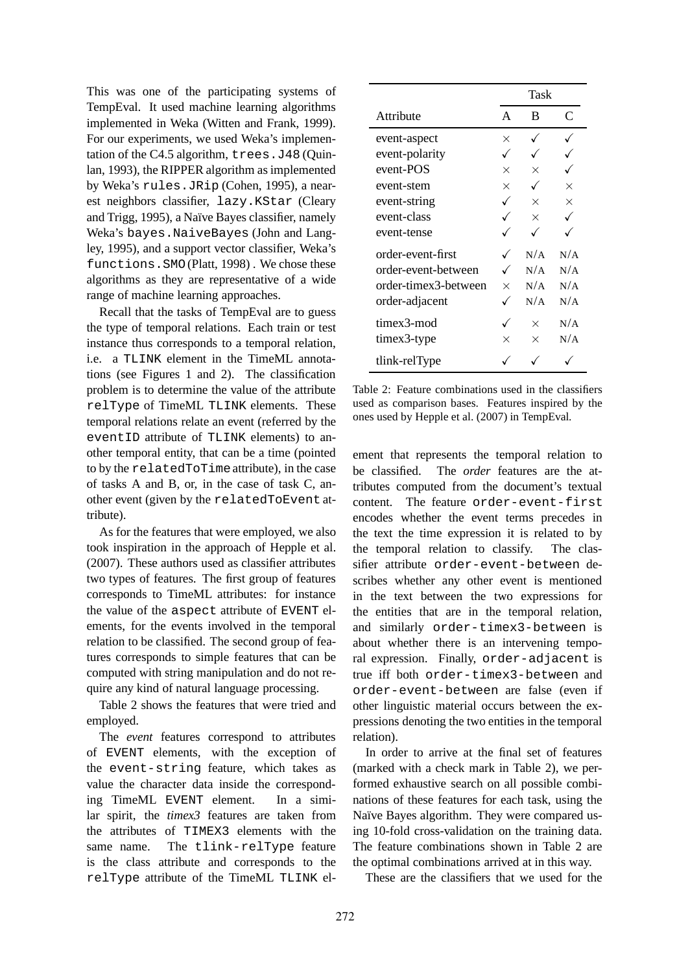This was one of the participating systems of TempEval. It used machine learning algorithms implemented in Weka (Witten and Frank, 1999). For our experiments, we used Weka's implementation of the C4.5 algorithm, trees.J48 (Quinlan, 1993), the RIPPER algorithm as implemented by Weka's rules.JRip (Cohen, 1995), a nearest neighbors classifier, lazy.KStar (Cleary and Trigg, 1995), a Naïve Bayes classifier, namely Weka's bayes.NaiveBayes (John and Langley, 1995), and a support vector classifier, Weka's functions.SMO(Platt, 1998) . We chose these algorithms as they are representative of a wide range of machine learning approaches.

Recall that the tasks of TempEval are to guess the type of temporal relations. Each train or test instance thus corresponds to a temporal relation, i.e. a TLINK element in the TimeML annotations (see Figures 1 and 2). The classification problem is to determine the value of the attribute relType of TimeML TLINK elements. These temporal relations relate an event (referred by the eventID attribute of TLINK elements) to another temporal entity, that can be a time (pointed to by the relatedToTimeattribute), in the case of tasks A and B, or, in the case of task C, another event (given by the relatedToEvent attribute).

As for the features that were employed, we also took inspiration in the approach of Hepple et al. (2007). These authors used as classifier attributes two types of features. The first group of features corresponds to TimeML attributes: for instance the value of the aspect attribute of EVENT elements, for the events involved in the temporal relation to be classified. The second group of features corresponds to simple features that can be computed with string manipulation and do not require any kind of natural language processing.

Table 2 shows the features that were tried and employed.

The *event* features correspond to attributes of EVENT elements, with the exception of the event-string feature, which takes as value the character data inside the corresponding TimeML EVENT element. In a similar spirit, the *timex3* features are taken from the attributes of TIMEX3 elements with the same name. The tlink-relType feature is the class attribute and corresponds to the relType attribute of the TimeML TLINK el-

|                      |          | Task     |          |
|----------------------|----------|----------|----------|
| Attribute            | A        | B        | C        |
| event-aspect         | ×        |          |          |
| event-polarity       |          |          |          |
| event-POS            | $\times$ | $\times$ |          |
| event-stem           | $\times$ |          | $\times$ |
| event-string         |          | $\times$ | $\times$ |
| event-class          |          | $\times$ |          |
| event-tense          |          |          |          |
| order-event-first    |          | N/A      | N/A      |
| order-event-between  |          | N/A      | N/A      |
| order-timex3-between | $\times$ | N/A      | N/A      |
| order-adjacent       |          | N/A      | N/A      |
| timex3-mod           |          | $\times$ | N/A      |
| timex3-type          | ×        | $\times$ | N/A      |
| tlink-relType        |          |          |          |

Table 2: Feature combinations used in the classifiers used as comparison bases. Features inspired by the ones used by Hepple et al. (2007) in TempEval.

ement that represents the temporal relation to be classified. The *order* features are the attributes computed from the document's textual content. The feature order-event-first encodes whether the event terms precedes in the text the time expression it is related to by the temporal relation to classify. The classifier attribute order-event-between describes whether any other event is mentioned in the text between the two expressions for the entities that are in the temporal relation, and similarly order-timex3-between is about whether there is an intervening temporal expression. Finally, order-adjacent is true iff both order-timex3-between and order-event-between are false (even if other linguistic material occurs between the expressions denoting the two entities in the temporal relation).

In order to arrive at the final set of features (marked with a check mark in Table 2), we performed exhaustive search on all possible combinations of these features for each task, using the Naïve Bayes algorithm. They were compared using 10-fold cross-validation on the training data. The feature combinations shown in Table 2 are the optimal combinations arrived at in this way.

These are the classifiers that we used for the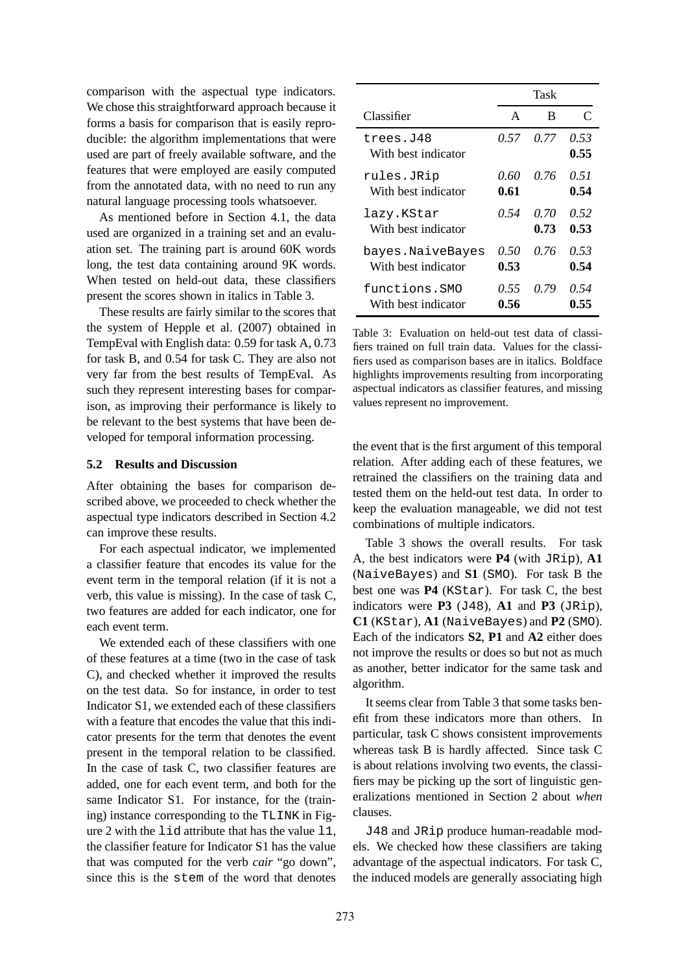comparison with the aspectual type indicators. We chose this straightforward approach because it forms a basis for comparison that is easily reproducible: the algorithm implementations that were used are part of freely available software, and the features that were employed are easily computed from the annotated data, with no need to run any natural language processing tools whatsoever.

As mentioned before in Section 4.1, the data used are organized in a training set and an evaluation set. The training part is around 60K words long, the test data containing around 9K words. When tested on held-out data, these classifiers present the scores shown in italics in Table 3.

These results are fairly similar to the scores that the system of Hepple et al. (2007) obtained in TempEval with English data: 0.59 for task A, 0.73 for task B, and 0.54 for task C. They are also not very far from the best results of TempEval. As such they represent interesting bases for comparison, as improving their performance is likely to be relevant to the best systems that have been developed for temporal information processing.

#### **5.2 Results and Discussion**

After obtaining the bases for comparison described above, we proceeded to check whether the aspectual type indicators described in Section 4.2 can improve these results.

For each aspectual indicator, we implemented a classifier feature that encodes its value for the event term in the temporal relation (if it is not a verb, this value is missing). In the case of task C, two features are added for each indicator, one for each event term.

We extended each of these classifiers with one of these features at a time (two in the case of task C), and checked whether it improved the results on the test data. So for instance, in order to test Indicator S1, we extended each of these classifiers with a feature that encodes the value that this indicator presents for the term that denotes the event present in the temporal relation to be classified. In the case of task C, two classifier features are added, one for each event term, and both for the same Indicator S1. For instance, for the (training) instance corresponding to the TLINK in Figure 2 with the lid attribute that has the value l1, the classifier feature for Indicator S1 has the value that was computed for the verb *cair* "go down", since this is the stem of the word that denotes

|                                  |      | Task |              |
|----------------------------------|------|------|--------------|
| Classifier                       | A    | В    | $\subset$    |
| trees.J48<br>With best indicator | 0.57 | 0.77 | 0.53<br>0.55 |
| rules.JRip                       | 0.60 | 0.76 | 0.51         |
| With hest indicator              | 0.61 |      | 0.54         |
| lazy.KStar                       | 0.54 | 0.70 | 0.52         |
| With best indicator              |      | 0.73 | 0.53         |
| bayes.NaiveBayes                 | 0.50 | 0.76 | 0.53         |
| With hest indicator              | 0.53 |      | 0.54         |
| functions.SMO                    | 0.55 | 0.79 | 0.54         |
| With best indicator              | 0.56 |      | 0.55         |

Table 3: Evaluation on held-out test data of classifiers trained on full train data. Values for the classifiers used as comparison bases are in italics. Boldface highlights improvements resulting from incorporating aspectual indicators as classifier features, and missing values represent no improvement.

the event that is the first argument of this temporal relation. After adding each of these features, we retrained the classifiers on the training data and tested them on the held-out test data. In order to keep the evaluation manageable, we did not test combinations of multiple indicators.

Table 3 shows the overall results. For task A, the best indicators were **P4** (with JRip), **A1** (NaiveBayes) and **S1** (SMO). For task B the best one was **P4** (KStar). For task C, the best indicators were  $P3$  ( $J48$ ),  $A1$  and  $P3$  ( $JRip$ ), **C1** (KStar), **A1** (NaiveBayes) and **P2** (SMO). Each of the indicators **S2**, **P1** and **A2** either does not improve the results or does so but not as much as another, better indicator for the same task and algorithm.

It seems clear from Table 3 that some tasks benefit from these indicators more than others. In particular, task C shows consistent improvements whereas task B is hardly affected. Since task C is about relations involving two events, the classifiers may be picking up the sort of linguistic generalizations mentioned in Section 2 about *when* clauses.

J48 and JRip produce human-readable models. We checked how these classifiers are taking advantage of the aspectual indicators. For task C, the induced models are generally associating high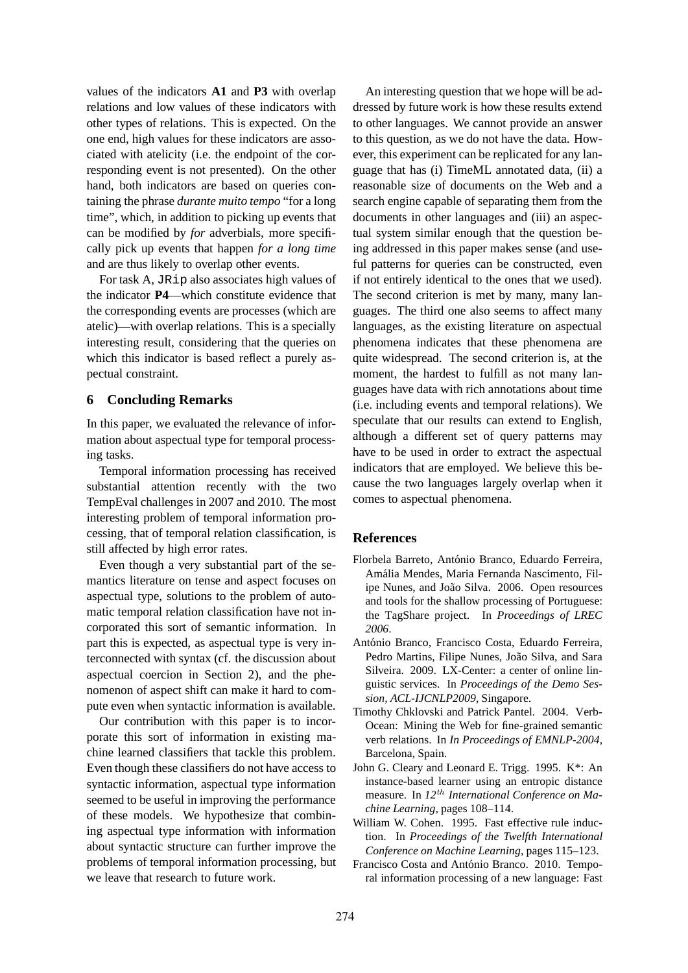values of the indicators **A1** and **P3** with overlap relations and low values of these indicators with other types of relations. This is expected. On the one end, high values for these indicators are associated with atelicity (i.e. the endpoint of the corresponding event is not presented). On the other hand, both indicators are based on queries containing the phrase *durante muito tempo* "for a long time", which, in addition to picking up events that can be modified by *for* adverbials, more specifically pick up events that happen *for a long time* and are thus likely to overlap other events.

For task A, JRip also associates high values of the indicator **P4**—which constitute evidence that the corresponding events are processes (which are atelic)—with overlap relations. This is a specially interesting result, considering that the queries on which this indicator is based reflect a purely aspectual constraint.

## **6 Concluding Remarks**

In this paper, we evaluated the relevance of information about aspectual type for temporal processing tasks.

Temporal information processing has received substantial attention recently with the two TempEval challenges in 2007 and 2010. The most interesting problem of temporal information processing, that of temporal relation classification, is still affected by high error rates.

Even though a very substantial part of the semantics literature on tense and aspect focuses on aspectual type, solutions to the problem of automatic temporal relation classification have not incorporated this sort of semantic information. In part this is expected, as aspectual type is very interconnected with syntax (cf. the discussion about aspectual coercion in Section 2), and the phenomenon of aspect shift can make it hard to compute even when syntactic information is available.

Our contribution with this paper is to incorporate this sort of information in existing machine learned classifiers that tackle this problem. Even though these classifiers do not have access to syntactic information, aspectual type information seemed to be useful in improving the performance of these models. We hypothesize that combining aspectual type information with information about syntactic structure can further improve the problems of temporal information processing, but we leave that research to future work.

An interesting question that we hope will be addressed by future work is how these results extend to other languages. We cannot provide an answer to this question, as we do not have the data. However, this experiment can be replicated for any language that has (i) TimeML annotated data, (ii) a reasonable size of documents on the Web and a search engine capable of separating them from the documents in other languages and (iii) an aspectual system similar enough that the question being addressed in this paper makes sense (and useful patterns for queries can be constructed, even if not entirely identical to the ones that we used). The second criterion is met by many, many languages. The third one also seems to affect many languages, as the existing literature on aspectual phenomena indicates that these phenomena are quite widespread. The second criterion is, at the moment, the hardest to fulfill as not many languages have data with rich annotations about time (i.e. including events and temporal relations). We speculate that our results can extend to English, although a different set of query patterns may have to be used in order to extract the aspectual indicators that are employed. We believe this because the two languages largely overlap when it comes to aspectual phenomena.

## **References**

- Florbela Barreto, António Branco, Eduardo Ferreira, Amália Mendes, Maria Fernanda Nascimento, Filipe Nunes, and João Silva. 2006. Open resources and tools for the shallow processing of Portuguese: the TagShare project. In *Proceedings of LREC 2006*.
- António Branco, Francisco Costa, Eduardo Ferreira, Pedro Martins, Filipe Nunes, João Silva, and Sara Silveira. 2009. LX-Center: a center of online linguistic services. In *Proceedings of the Demo Session, ACL-IJCNLP2009*, Singapore.
- Timothy Chklovski and Patrick Pantel. 2004. Verb-Ocean: Mining the Web for fine-grained semantic verb relations. In *In Proceedings of EMNLP-2004*, Barcelona, Spain.
- John G. Cleary and Leonard E. Trigg. 1995. K\*: An instance-based learner using an entropic distance measure. In *12*th *International Conference on Machine Learning*, pages 108–114.
- William W. Cohen. 1995. Fast effective rule induction. In *Proceedings of the Twelfth International Conference on Machine Learning*, pages 115–123.
- Francisco Costa and António Branco. 2010. Temporal information processing of a new language: Fast